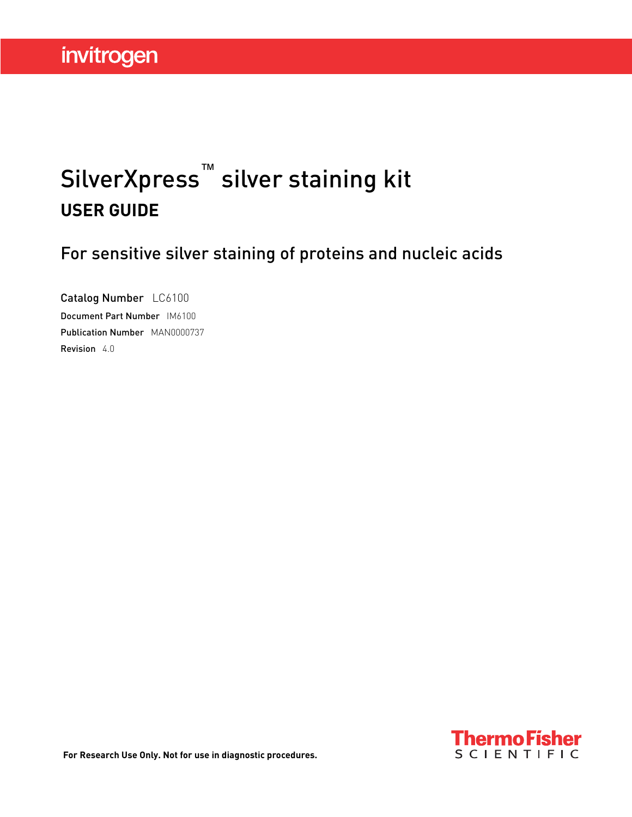# SilverXpress™ silver staining kit **USER GUIDE**

For sensitive silver staining of proteins and nucleic acids

Catalog Number LC6100 Document Part Number IM6100 Publication Number MAN0000737 Revision 4.0

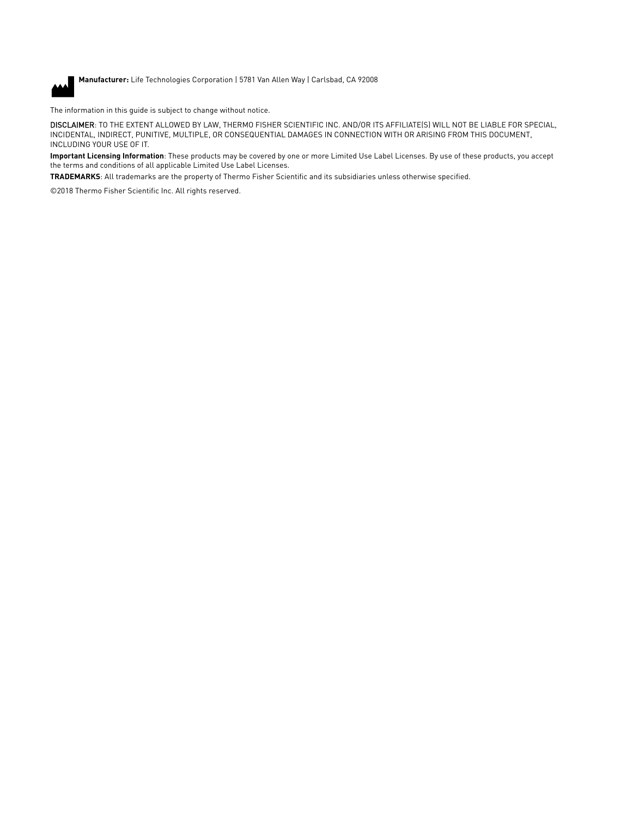

**Manufacturer:** Life Technologies Corporation | 5781 Van Allen Way | Carlsbad, CA 92008

The information in this guide is subject to change without notice.

DISCLAIMER: TO THE EXTENT ALLOWED BY LAW, THERMO FISHER SCIENTIFIC INC. AND/OR ITS AFFILIATE(S) WILL NOT BE LIABLE FOR SPECIAL, INCIDENTAL, INDIRECT, PUNITIVE, MULTIPLE, OR CONSEQUENTIAL DAMAGES IN CONNECTION WITH OR ARISING FROM THIS DOCUMENT, INCLUDING YOUR USE OF IT.

**Important Licensing Information**: These products may be covered by one or more Limited Use Label Licenses. By use of these products, you accept the terms and conditions of all applicable Limited Use Label Licenses.

**TRADEMARKS**: All trademarks are the property of Thermo Fisher Scientific and its subsidiaries unless otherwise specified.

©2018 Thermo Fisher Scientific Inc. All rights reserved.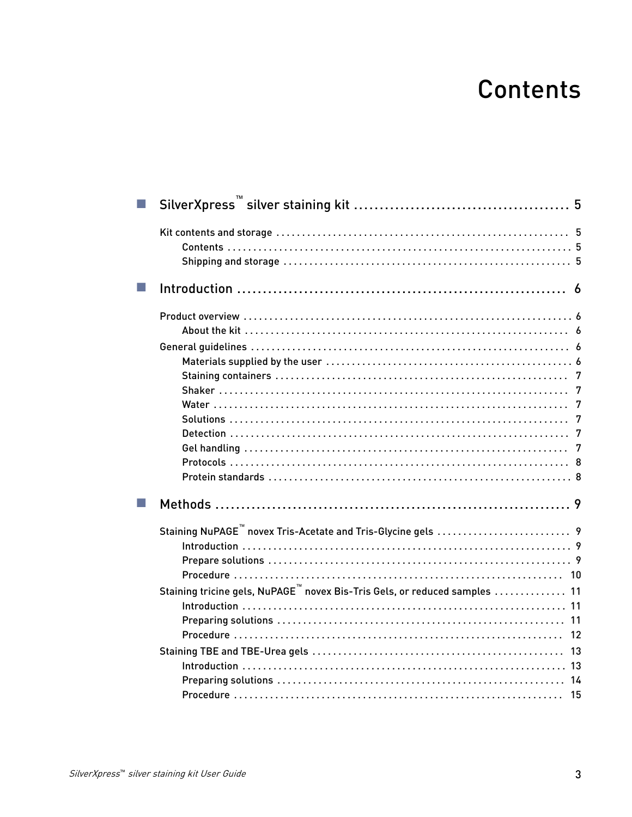# **Contents**

| Staining tricine gels, NuPAGE <sup>™</sup> novex Bis-Tris Gels, or reduced samples  11 |
|----------------------------------------------------------------------------------------|
|                                                                                        |
|                                                                                        |
|                                                                                        |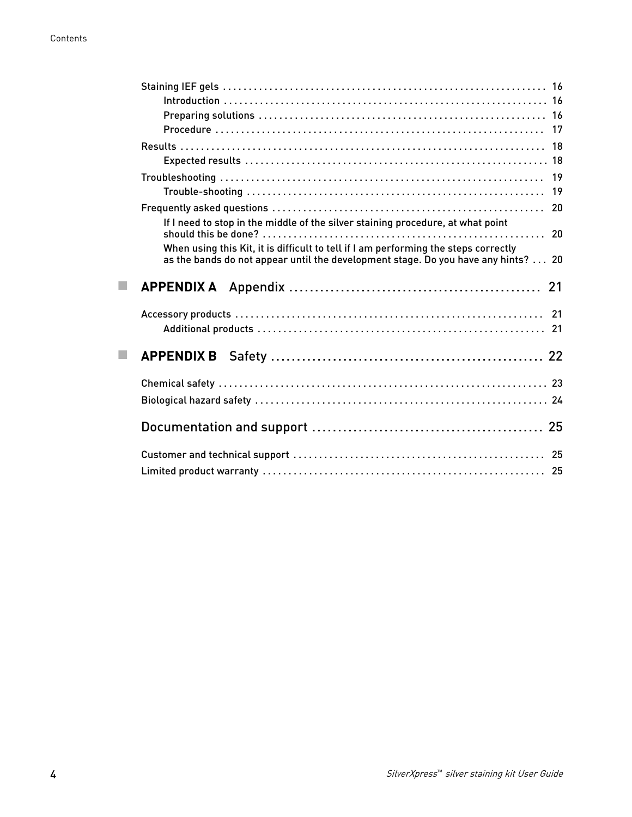|    | If I need to stop in the middle of the silver staining procedure, at what point                                                                                           |
|----|---------------------------------------------------------------------------------------------------------------------------------------------------------------------------|
|    | When using this Kit, it is difficult to tell if I am performing the steps correctly<br>as the bands do not appear until the development stage. Do you have any hints?  20 |
|    |                                                                                                                                                                           |
|    |                                                                                                                                                                           |
|    |                                                                                                                                                                           |
| m. |                                                                                                                                                                           |
|    |                                                                                                                                                                           |
|    |                                                                                                                                                                           |
|    |                                                                                                                                                                           |
|    |                                                                                                                                                                           |
|    |                                                                                                                                                                           |
|    |                                                                                                                                                                           |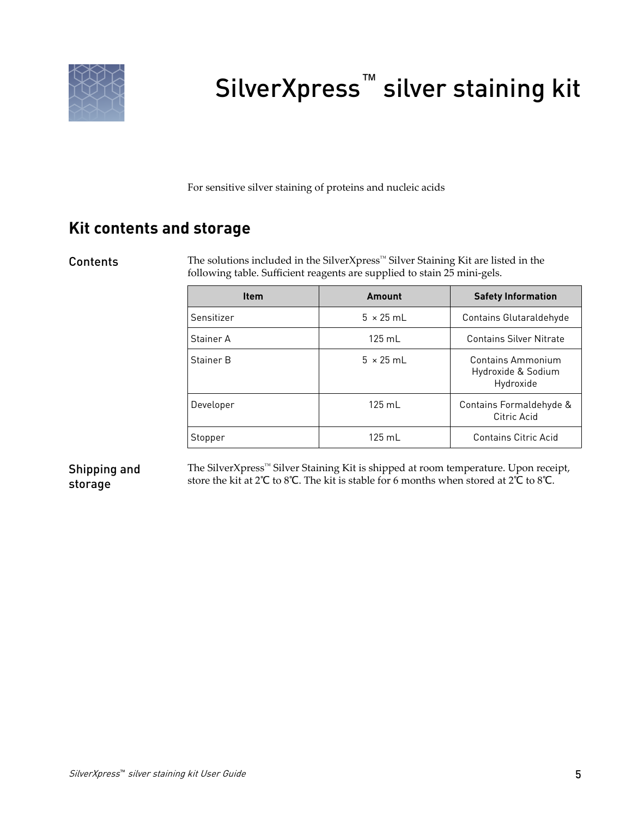<span id="page-4-0"></span>

# SilverXpress<sup>™</sup> silver staining kit

For sensitive silver staining of proteins and nucleic acids

### **Kit contents and storage**

### Contents

The solutions included in the SilverXpress™ Silver Staining Kit are listed in the following table. Sufficient reagents are supplied to stain 25 mini-gels.

| <b>Item</b> | Amount           | <b>Safety Information</b>                            |
|-------------|------------------|------------------------------------------------------|
| Sensitizer  | $5 \times 25$ ml | Contains Glutaraldehyde                              |
| Stainer A   | $125 \text{ mL}$ | <b>Contains Silver Nitrate</b>                       |
| Stainer B   | $5 \times 25$ ml | Contains Ammonium<br>Hydroxide & Sodium<br>Hydroxide |
| Developer   | $125 \text{ ml}$ | Contains Formaldehyde &<br>Citric Acid               |
| Stopper     | $125 \text{ mL}$ | Contains Citric Acid                                 |

### Shipping and storage

The SilverXpress™ Silver Staining Kit is shipped at room temperature. Upon receipt, store the kit at 2℃ to 8℃. The kit is stable for 6 months when stored at 2℃ to 8℃.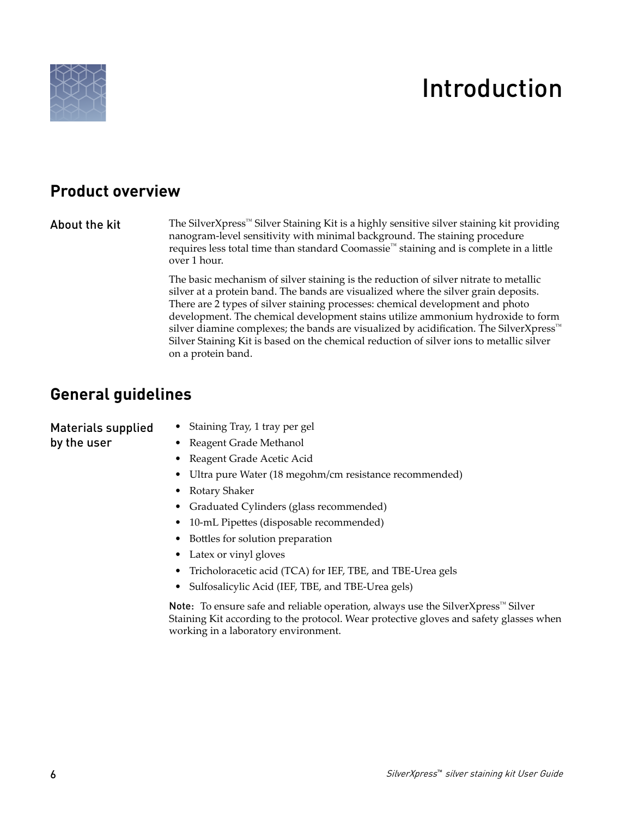<span id="page-5-0"></span>

# Introduction

### **Product overview**

### About the kit

The SilverXpress™ Silver Staining Kit is a highly sensitive silver staining kit providing nanogram-level sensitivity with minimal background. The staining procedure requires less total time than standard Coomassie™ staining and is complete in a little over 1 hour.

The basic mechanism of silver staining is the reduction of silver nitrate to metallic silver at a protein band. The bands are visualized where the silver grain deposits. There are 2 types of silver staining processes: chemical development and photo development. The chemical development stains utilize ammonium hydroxide to form silver diamine complexes; the bands are visualized by acidification. The SilverXpress™ Silver Staining Kit is based on the chemical reduction of silver ions to metallic silver on a protein band.

### **General guidelines**

| Materials supplied | • Staining Tray, 1 tray per gel                                                              |
|--------------------|----------------------------------------------------------------------------------------------|
| by the user        | • Reagent Grade Methanol                                                                     |
|                    | • Reagent Grade Acetic Acid                                                                  |
|                    | • Ultra pure Water (18 megohm/cm resistance recommended)                                     |
|                    | Rotary Shaker                                                                                |
|                    | • Graduated Cylinders (glass recommended)                                                    |
|                    | • 10-mL Pipettes (disposable recommended)                                                    |
|                    | • Bottles for solution preparation                                                           |
|                    | • Latex or vinyl gloves                                                                      |
|                    | Tricholoracetic acid (TCA) for IEF, TBE, and TBE-Urea gels                                   |
|                    | Sulfosalicylic Acid (IEF, TBE, and TBE-Urea gels)                                            |
|                    | <b>Note:</b> To ensure safe and reliable operation, always use the SilverXpress <sup>"</sup> |

Note: To ensure safe and reliable operation, always use the SilverXpress<sup>™</sup> Silver Staining Kit according to the protocol. Wear protective gloves and safety glasses when working in a laboratory environment.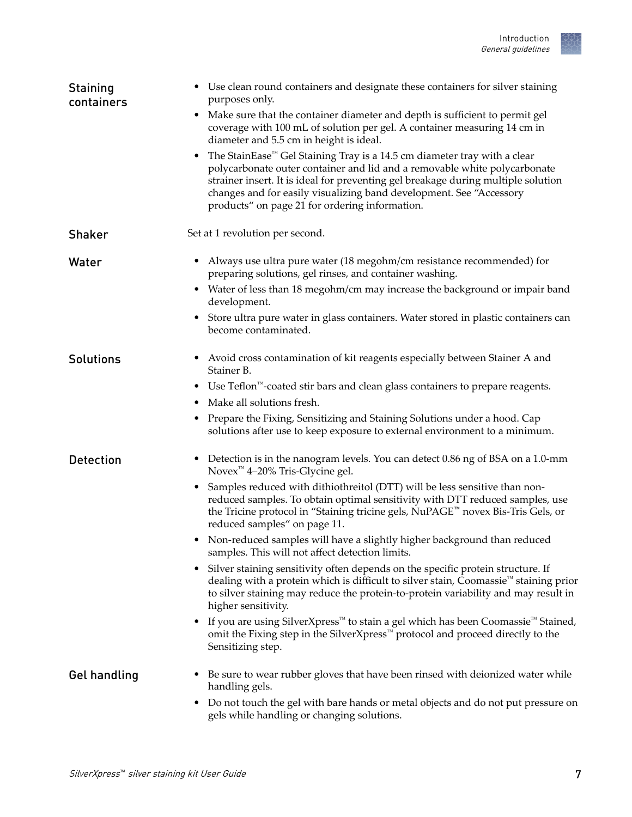<span id="page-6-0"></span>

| <b>Staining</b><br>containers | • Use clean round containers and designate these containers for silver staining<br>purposes only.                                                                                                                                                                                                                                                                                    |
|-------------------------------|--------------------------------------------------------------------------------------------------------------------------------------------------------------------------------------------------------------------------------------------------------------------------------------------------------------------------------------------------------------------------------------|
|                               | Make sure that the container diameter and depth is sufficient to permit gel<br>٠<br>coverage with 100 mL of solution per gel. A container measuring 14 cm in<br>diameter and 5.5 cm in height is ideal.                                                                                                                                                                              |
|                               | The StainEase <sup>™</sup> Gel Staining Tray is a 14.5 cm diameter tray with a clear<br>٠<br>polycarbonate outer container and lid and a removable white polycarbonate<br>strainer insert. It is ideal for preventing gel breakage during multiple solution<br>changes and for easily visualizing band development. See "Accessory<br>products" on page 21 for ordering information. |
| <b>Shaker</b>                 | Set at 1 revolution per second.                                                                                                                                                                                                                                                                                                                                                      |
| Water                         | Always use ultra pure water (18 megohm/cm resistance recommended) for<br>preparing solutions, gel rinses, and container washing.                                                                                                                                                                                                                                                     |
|                               | • Water of less than 18 megohm/cm may increase the background or impair band<br>development.                                                                                                                                                                                                                                                                                         |
|                               | Store ultra pure water in glass containers. Water stored in plastic containers can<br>become contaminated.                                                                                                                                                                                                                                                                           |
| <b>Solutions</b>              | • Avoid cross contamination of kit reagents especially between Stainer A and<br>Stainer B.                                                                                                                                                                                                                                                                                           |
|                               | • Use Teflon <sup>™</sup> -coated stir bars and clean glass containers to prepare reagents.                                                                                                                                                                                                                                                                                          |
|                               | Make all solutions fresh.                                                                                                                                                                                                                                                                                                                                                            |
|                               | Prepare the Fixing, Sensitizing and Staining Solutions under a hood. Cap<br>٠<br>solutions after use to keep exposure to external environment to a minimum.                                                                                                                                                                                                                          |
| <b>Detection</b>              | Detection is in the nanogram levels. You can detect 0.86 ng of BSA on a 1.0-mm<br>٠<br>Novex <sup>™</sup> 4–20% Tris-Glycine gel.                                                                                                                                                                                                                                                    |
|                               | • Samples reduced with dithiothreitol (DTT) will be less sensitive than non-<br>reduced samples. To obtain optimal sensitivity with DTT reduced samples, use<br>the Tricine protocol in "Staining tricine gels, NuPAGE™ novex Bis-Tris Gels, or<br>reduced samples" on page 11.                                                                                                      |
|                               | • Non-reduced samples will have a slightly higher background than reduced<br>samples. This will not affect detection limits.                                                                                                                                                                                                                                                         |
|                               | Silver staining sensitivity often depends on the specific protein structure. If<br>dealing with a protein which is difficult to silver stain, Coomassie <sup>™</sup> staining prior<br>to silver staining may reduce the protein-to-protein variability and may result in<br>higher sensitivity.                                                                                     |
|                               | If you are using SilverXpress <sup><math>m</math></sup> to stain a gel which has been Coomassie <sup><math>m</math></sup> Stained,<br>omit the Fixing step in the SilverXpress™ protocol and proceed directly to the<br>Sensitizing step.                                                                                                                                            |
| <b>Gel handling</b>           | Be sure to wear rubber gloves that have been rinsed with deionized water while<br>handling gels.                                                                                                                                                                                                                                                                                     |
|                               | Do not touch the gel with bare hands or metal objects and do not put pressure on<br>$\bullet$<br>gels while handling or changing solutions.                                                                                                                                                                                                                                          |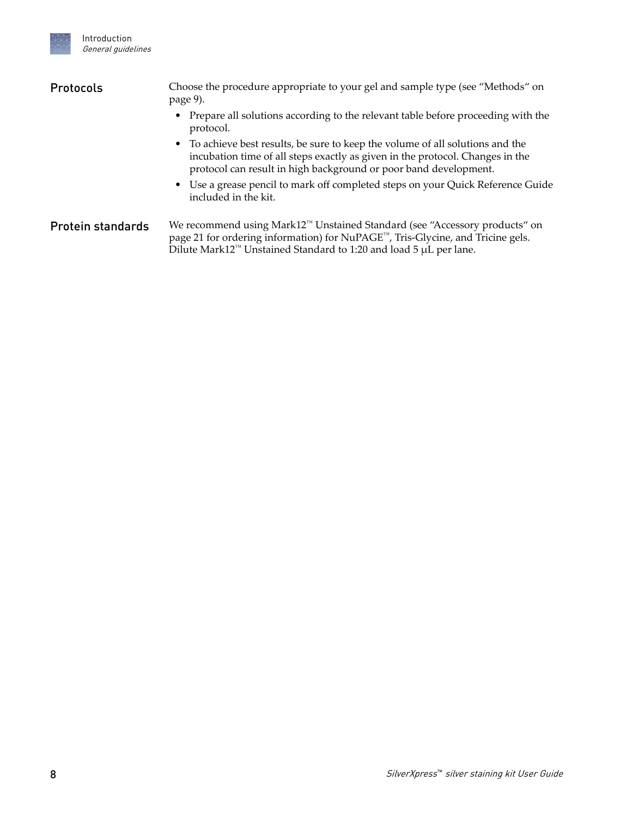<span id="page-7-0"></span>

### Choose the procedure appropriate to your gel and sample type (see ["Methods" on](#page-8-0) [page 9\)](#page-8-0). Protocols

- Prepare all solutions according to the relevant table before proceeding with the protocol.
- To achieve best results, be sure to keep the volume of all solutions and the incubation time of all steps exactly as given in the protocol. Changes in the protocol can result in high background or poor band development.
- Use a grease pencil to mark off completed steps on your Quick Reference Guide included in the kit.

We recommend using Mark12™ Unstained Standard (see ["Accessory products" on](#page-20-0) [page 21](#page-20-0) for ordering information) for NuPAGE™, Tris-Glycine, and Tricine gels. Dilute Mark12™ Unstained Standard to 1:20 and load 5 μL per lane. Protein standards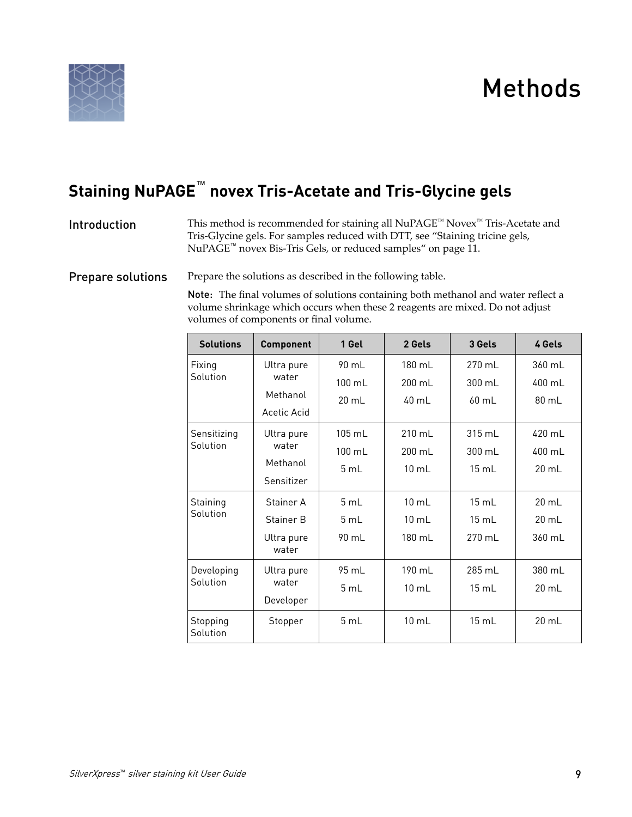<span id="page-8-0"></span>

# Methods

## **Staining NuPAGE**™  **novex Tris-Acetate and Tris-Glycine gels**

#### This method is recommended for staining all NuPAGE™ Novex™ Tris-Acetate and Tris-Glycine gels. For samples reduced with DTT, see ["Staining tricine gels,](#page-10-0) NuPAGE™ [novex Bis-Tris Gels, or reduced samples" on page 11.](#page-10-0) Introduction

Prepare the solutions as described in the following table. Prepare solutions

> Note: The final volumes of solutions containing both methanol and water reflect a volume shrinkage which occurs when these 2 reagents are mixed. Do not adjust volumes of components or final volume.

| <b>Solutions</b>        | <b>Component</b>                               | 1 Gel                                        | 2 Gels                                       | 3 Gels                             | 4 Gels                             |
|-------------------------|------------------------------------------------|----------------------------------------------|----------------------------------------------|------------------------------------|------------------------------------|
| Fixing<br>Solution      | Ultra pure<br>water<br>Methanol<br>Acetic Acid | $90 \text{ ml}$<br>$100 \text{ mL}$<br>20 mL | $180 \text{ ml}$<br>200 mL<br>40 mL          | 270 ml<br>300 mL<br>$60$ mL        | 360 mL<br>400 mL<br>80 mL          |
| Sensitizing<br>Solution | Ultra pure<br>water<br>Methanol<br>Sensitizer  | $105$ mL<br>$100 \text{ mL}$<br>5 mL         | 210 mL<br>200 mL<br>$10 \text{ mL}$          | 315 mL<br>300 mL<br>15 mL          | 420 mL<br>400 mL<br>20 mL          |
| Staining<br>Solution    | Stainer A<br>Stainer B<br>Ultra pure<br>water  | $5 \text{ ml}$<br>5 mL<br>90 mL              | $10 \text{ ml}$<br>$10 \text{ mL}$<br>180 mL | $15 \text{ ml}$<br>15 mL<br>270 mL | $20 \text{ ml}$<br>20 mL<br>360 mL |
| Developing<br>Solution  | Ultra pure<br>water<br>Developer               | $95 \text{ ml}$<br>5 mL                      | $190 \text{ ml}$<br>$10 \text{ mL}$          | 285 mL<br>15 mL                    | 380 ml<br>$20 \text{ mL}$          |
| Stopping<br>Solution    | Stopper                                        | 5 mL                                         | $10 \text{ mL}$                              | 15 mL                              | $20 \text{ mL}$                    |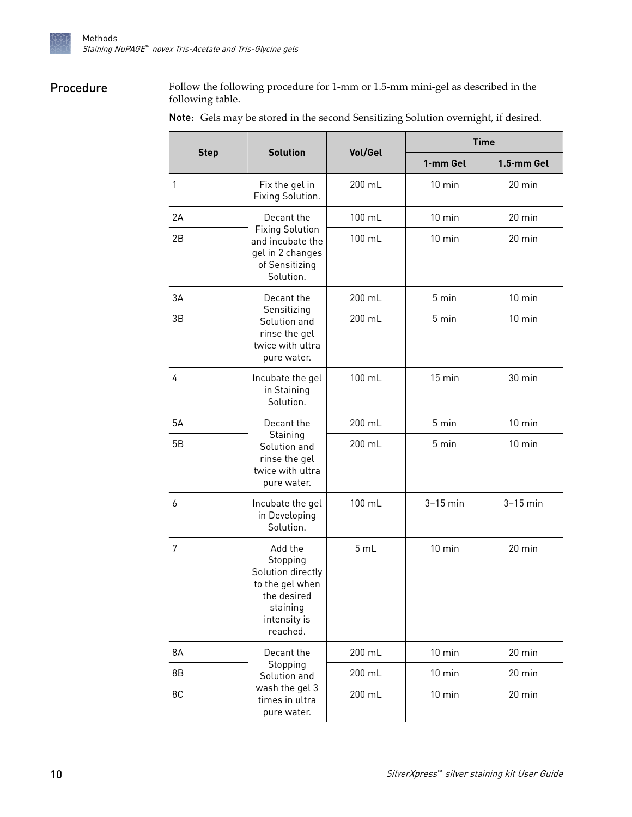<span id="page-9-0"></span>

### Procedure

Follow the following procedure for 1-mm or 1.5-mm mini-gel as described in the following table.

Note: Gels may be stored in the second Sensitizing Solution overnight, if desired.

|             | <b>Solution</b>                                                                                                    |         | <b>Time</b>      |                  |  |
|-------------|--------------------------------------------------------------------------------------------------------------------|---------|------------------|------------------|--|
| <b>Step</b> |                                                                                                                    | Vol/Gel | 1-mm Gel         | 1.5-mm Gel       |  |
| 1           | Fix the gel in<br>Fixing Solution.                                                                                 | 200 mL  | $10$ min         | $20$ min         |  |
| 2A          | Decant the                                                                                                         | 100 mL  | $10$ min         | 20 min           |  |
| 2B          | <b>Fixing Solution</b><br>and incubate the<br>gel in 2 changes<br>of Sensitizing<br>Solution.                      | 100 mL  | $10 \text{ min}$ | $20$ min         |  |
| 3A          | Decant the                                                                                                         | 200 mL  | 5 min            | $10$ min         |  |
| 3B          | Sensitizing<br>Solution and<br>rinse the gel<br>twice with ultra<br>pure water.                                    | 200 mL  | 5 min            | $10 \text{ min}$ |  |
| 4           | Incubate the gel<br>in Staining<br>Solution.                                                                       | 100 mL  | $15 \text{ min}$ | 30 min           |  |
| 5A          | Decant the<br>Staining<br>Solution and<br>rinse the gel<br>twice with ultra<br>pure water.                         | 200 mL  | 5 min            | $10$ min         |  |
| 5B          |                                                                                                                    | 200 mL  | 5 min            | $10$ min         |  |
| 6           | Incubate the gel<br>in Developing<br>Solution.                                                                     | 100 mL  | $3-15$ min       | $3-15$ min       |  |
| 7           | Add the<br>Stopping<br>Solution directly<br>to the gel when<br>the desired<br>staining<br>intensity is<br>reached. | 5 mL    | $10$ min         | 20 min           |  |
| 8A          | Decant the                                                                                                         | 200 mL  | $10$ min         | 20 min           |  |
| 8B          | Stopping<br>Solution and<br>wash the gel 3<br>times in ultra<br>pure water.                                        | 200 mL  | $10$ min         | 20 min           |  |
| 8C          |                                                                                                                    | 200 mL  | $10$ min         | $20$ min         |  |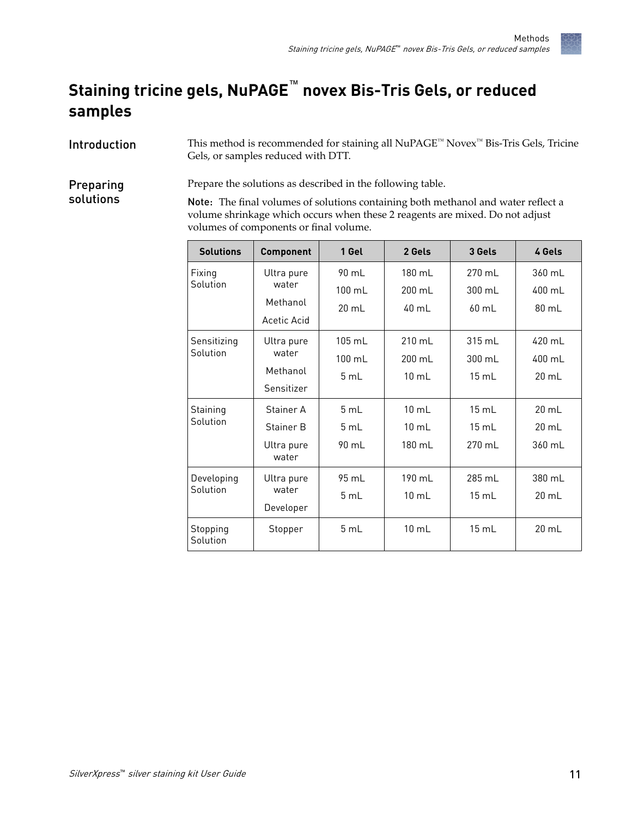## <span id="page-10-0"></span>**Staining tricine gels, NuPAGE**™  **novex Bis-Tris Gels, or reduced samples**

This method is recommended for staining all NuPAGE™ Novex™ Bis-Tris Gels, Tricine Gels, or samples reduced with DTT. Introduction

Prepare the solutions as described in the following table. Preparing

> Note: The final volumes of solutions containing both methanol and water reflect a volume shrinkage which occurs when these 2 reagents are mixed. Do not adjust volumes of components or final volume.

| <b>Solutions</b>        | <b>Component</b>                               | 1 Gel                                        | 2 Gels                                        | 3 Gels                              | 4 Gels                              |
|-------------------------|------------------------------------------------|----------------------------------------------|-----------------------------------------------|-------------------------------------|-------------------------------------|
| Fixing<br>Solution      | Ultra pure<br>water<br>Methanol<br>Acetic Acid | 90 mL<br>$100 \text{ ml}$<br>$20 \text{ ml}$ | 180 mL<br>$200 \text{ ml}$<br>40 ml           | 270 mL<br>$300 \mathrm{m}$<br>60 mL | 360 mL<br>400 mL<br>$80 \text{ mL}$ |
| Sensitizing<br>Solution | Ultra pure<br>water<br>Methanol<br>Sensitizer  | $105 \text{ ml}$<br>$100 \text{ mL}$<br>5 mL | $210 \text{ ml}$<br>200 mL<br>$10 \text{ mL}$ | $315 \text{ ml}$<br>300 mL<br>15 mL | 420 mL<br>400 mL<br>20 mL           |
| Staining<br>Solution    | Stainer A<br>Stainer B<br>Ultra pure<br>water  | $5 \text{ ml}$<br>5 mL<br>90 mL              | $10 \text{ mL}$<br>$10 \text{ mL}$<br>180 mL  | 15 mL<br>15 mL<br>270 mL            | $20 \text{ mL}$<br>20 mL<br>360 mL  |
| Developing<br>Solution  | Ultra pure<br>water<br>Developer               | 95 mL<br>5 mL                                | 190 mL<br>10 mL                               | 285 mL<br>$15 \text{ mL}$           | 380 mL<br>20 mL                     |
| Stopping<br>Solution    | Stopper                                        | 5 mL                                         | $10 \text{ mL}$                               | 15 mL                               | $20 \text{ mL}$                     |

solutions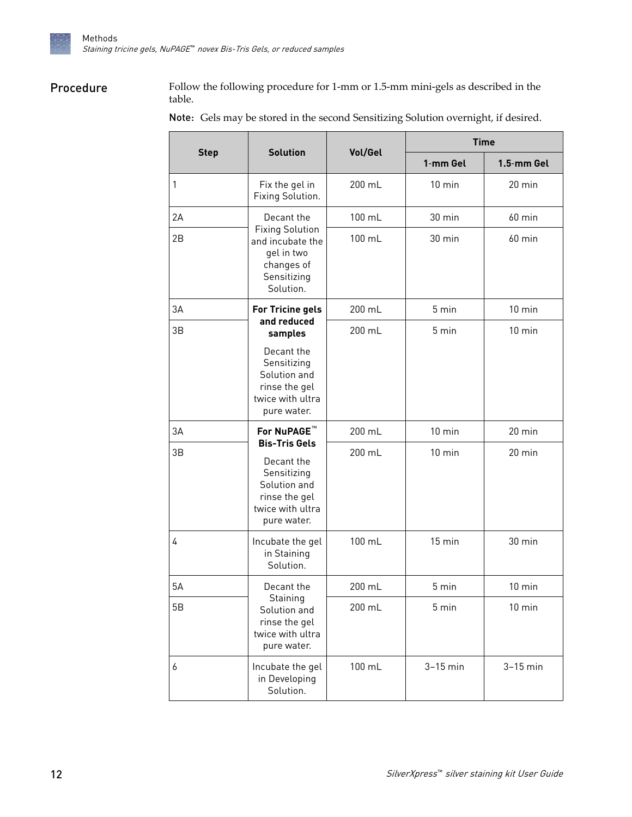<span id="page-11-0"></span>

### Procedure

Follow the following procedure for 1-mm or 1.5-mm mini-gels as described in the table.

|             | <b>Solution</b>                                                                                                         | Vol/Gel | <b>Time</b>      |                  |  |
|-------------|-------------------------------------------------------------------------------------------------------------------------|---------|------------------|------------------|--|
| <b>Step</b> |                                                                                                                         |         | 1-mm Gel         | 1.5-mm Gel       |  |
| 1           | Fix the gel in<br>Fixing Solution.                                                                                      | 200 mL  | $10 \text{ min}$ | $20 \text{ min}$ |  |
| 2A          | Decant the                                                                                                              | 100 mL  | 30 min           | $60$ min         |  |
| 2B          | <b>Fixing Solution</b><br>and incubate the<br>gel in two<br>changes of<br>Sensitizing<br>Solution.                      | 100 mL  | $30 \text{ min}$ | $60$ min         |  |
| 3A          | For Tricine gels                                                                                                        | 200 mL  | 5 min            | $10$ min         |  |
| 3B          | and reduced<br>samples<br>Decant the<br>Sensitizing<br>Solution and<br>rinse the gel<br>twice with ultra<br>pure water. | 200 mL  | 5 min            | $10 \text{ min}$ |  |
| 3A          | For NuPAGE <sup>™</sup>                                                                                                 | 200 mL  | $10 \text{ min}$ | $20$ min         |  |
| 3B          | <b>Bis-Tris Gels</b><br>Decant the<br>Sensitizing<br>Solution and<br>rinse the gel<br>twice with ultra<br>pure water.   | 200 mL  | $10 \text{ min}$ | $20$ min         |  |
| 4           | Incubate the gel<br>in Staining<br>Solution.                                                                            | 100 mL  | 15 min           | 30 min           |  |
| 5A          | Decant the                                                                                                              | 200 mL  | 5 min            | $10 \text{ min}$ |  |
| 5B          | Staining<br>Solution and<br>rinse the gel<br>twice with ultra<br>pure water.                                            | 200 mL  | 5 min            | $10$ min         |  |
| 6           | Incubate the gel<br>in Developing<br>Solution.                                                                          | 100 mL  | $3-15$ min       | $3-15$ min       |  |

Note: Gels may be stored in the second Sensitizing Solution overnight, if desired.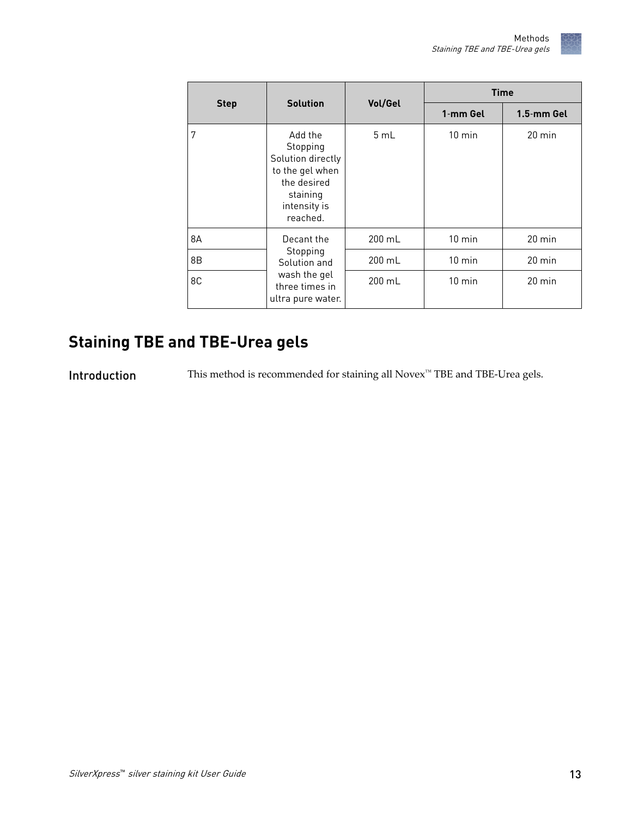<span id="page-12-0"></span>

|             |                                                                                                                    | Vol/Gel | <b>Time</b>      |                  |  |
|-------------|--------------------------------------------------------------------------------------------------------------------|---------|------------------|------------------|--|
| <b>Step</b> | <b>Solution</b>                                                                                                    |         | 1-mm Gel         | 1.5-mm Gel       |  |
| 7           | Add the<br>Stopping<br>Solution directly<br>to the gel when<br>the desired<br>staining<br>intensity is<br>reached. | 5mL     | $10 \text{ min}$ | $20 \text{ min}$ |  |
| 8A          | Decant the                                                                                                         | 200 mL  | $10$ min         | $20 \text{ min}$ |  |
| 8B          | Stopping<br>Solution and<br>wash the gel<br>three times in<br>ultra pure water.                                    | 200 mL  | $10 \text{ min}$ | $20 \text{ min}$ |  |
| 8C          |                                                                                                                    | 200 mL  | $10 \text{ min}$ | $20 \text{ min}$ |  |

## **Staining TBE and TBE-Urea gels**

Introduction This method is recommended for staining all Novex<sup>™</sup> TBE and TBE-Urea gels.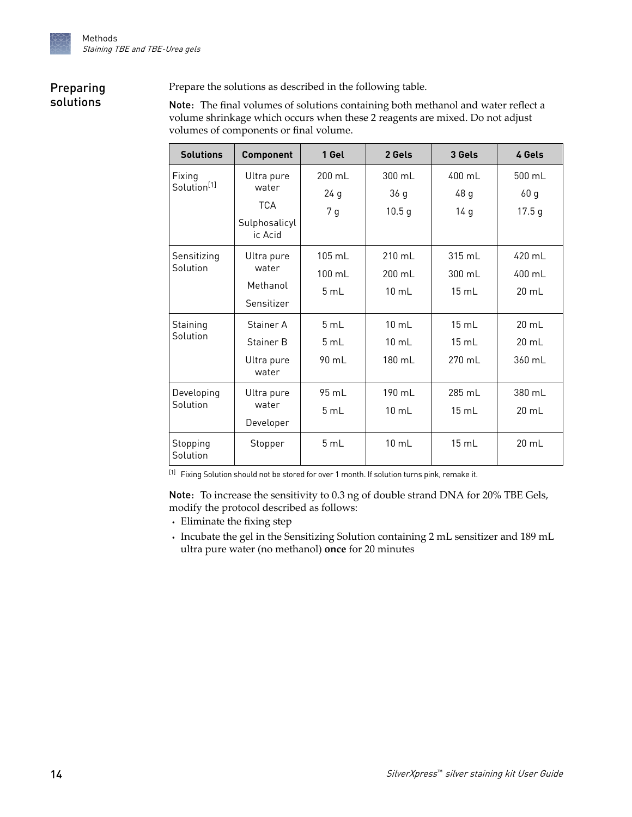### <span id="page-13-0"></span>Preparing solutions

Prepare the solutions as described in the following table.

Note: The final volumes of solutions containing both methanol and water reflect a volume shrinkage which occurs when these 2 reagents are mixed. Do not adjust volumes of components or final volume.

| <b>Solutions</b>        | <b>Component</b>         | 1 Gel           | 2 Gels            | 3 Gels           | 4 Gels            |
|-------------------------|--------------------------|-----------------|-------------------|------------------|-------------------|
| Fixing                  | Ultra pure               | $200$ mL        | 300 mL            | $400$ mL         | 500 mL            |
| Solution <sup>[1]</sup> | water                    | 24g             | 36 g              | 48 g             | 60 <sub>g</sub>   |
|                         | <b>TCA</b>               | 7 <sub>g</sub>  | 10.5 <sub>g</sub> | 14g              | 17.5 <sub>g</sub> |
|                         | Sulphosalicyl<br>ic Acid |                 |                   |                  |                   |
| Sensitizing             | Ultra pure               | $105$ mL        | 210 mL            | $315 \text{ ml}$ | 420 mL            |
| Solution                | water                    | 100 mL          | 200 mL            | 300 mL           | 400 mL            |
|                         | Methanol                 | 5 mL            | $10$ mL           | 15 mL            | 20 mL             |
|                         | Sensitizer               |                 |                   |                  |                   |
| Staining                | Stainer A                | 5 mL            | $10 \text{ mL}$   | 15 mL            | $20 \text{ mL}$   |
| Solution                | Stainer B                | 5 mL            | $10$ mL           | 15 mL            | 20 mL             |
|                         | Ultra pure<br>water      | 90 mL           | 180 mL            | 270 mL           | 360 mL            |
| Developing              | Ultra pure               | $95 \text{ ml}$ | $190$ ml          | 285 ml           | 380 ml            |
| Solution                | water                    | 5 mL            | $10$ mL           | 15 mL            | 20 mL             |
|                         | Developer                |                 |                   |                  |                   |
| Stopping<br>Solution    | Stopper                  | 5 mL            | $10 \text{ mL}$   | 15 mL            | $20 \text{ mL}$   |

[1] Fixing Solution should not be stored for over 1 month. If solution turns pink, remake it.

Note: To increase the sensitivity to 0.3 ng of double strand DNA for 20% TBE Gels, modify the protocol described as follows:

- Eliminate the fixing step
- **·** Incubate the gel in the Sensitizing Solution containing 2 mL sensitizer and 189 mL ultra pure water (no methanol) **once** for 20 minutes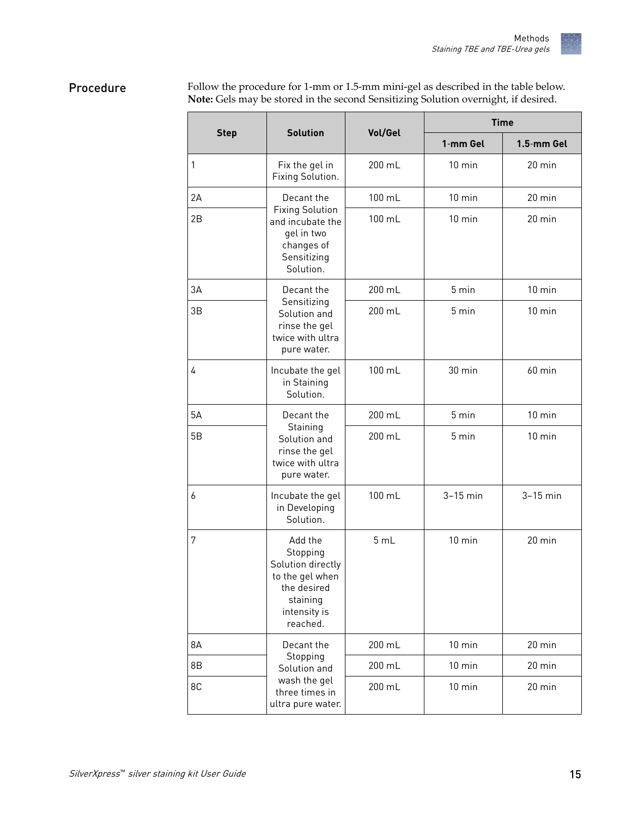#### <span id="page-14-0"></span>Follow the procedure for 1-mm or 1.5-mm mini-gel as described in the table below. **Note:** Gels may be stored in the second Sensitizing Solution overnight, if desired. Procedure

|             | <b>Solution</b>                                                                                                    | Vol/Gel | <b>Time</b>      |                  |  |
|-------------|--------------------------------------------------------------------------------------------------------------------|---------|------------------|------------------|--|
| <b>Step</b> |                                                                                                                    |         | 1-mm Gel         | 1.5-mm Gel       |  |
| 1           | Fix the gel in<br>Fixing Solution.                                                                                 | 200 mL  | $10 \text{ min}$ | 20 min           |  |
| 2A          | Decant the                                                                                                         | 100 mL  | $10$ min         | 20 min           |  |
| 2B          | <b>Fixing Solution</b><br>and incubate the<br>gel in two<br>changes of<br>Sensitizing<br>Solution.                 | 100 mL  | $10$ min         | $20$ min         |  |
| 3A          | Decant the                                                                                                         | 200 mL  | 5 min            | $10$ min         |  |
| 3B          | Sensitizing<br>Solution and<br>rinse the gel<br>twice with ultra<br>pure water.                                    | 200 mL  | 5 min            | $10 \text{ min}$ |  |
| 4           | Incubate the gel<br>in Staining<br>Solution.                                                                       | 100 mL  | 30 min           | $60$ min         |  |
| 5A          | Decant the                                                                                                         | 200 mL  | 5 min            | $10$ min         |  |
| 5B          | Staining<br>Solution and<br>rinse the gel<br>twice with ultra<br>pure water.                                       | 200 mL  | 5 min            | $10 \text{ min}$ |  |
| 6           | Incubate the gel<br>in Developing<br>Solution.                                                                     | 100 mL  | $3-15$ min       | $3-15$ min       |  |
| 7           | Add the<br>Stopping<br>Solution directly<br>to the gel when<br>the desired<br>staining<br>intensity is<br>reached. | 5 mL    | $10 \text{ min}$ | 20 min           |  |
| 8A          | Decant the                                                                                                         | 200 mL  | $10$ min         | 20 min           |  |
| 8B          | Stopping<br>Solution and                                                                                           | 200 mL  | $10$ min         | 20 min           |  |
| 8C          | wash the gel<br>three times in<br>ultra pure water.                                                                | 200 mL  | $10$ min         | 20 min           |  |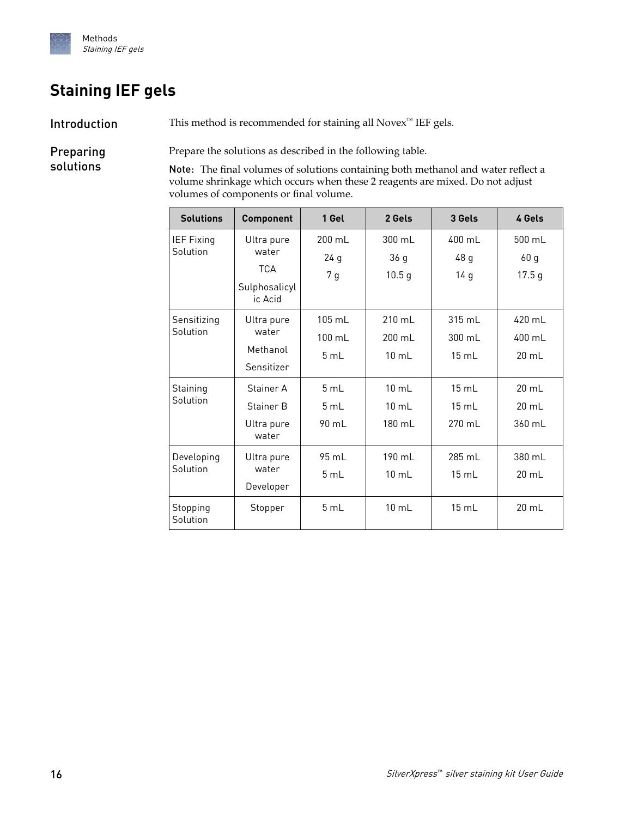<span id="page-15-0"></span>

## **Staining IEF gels**

Introduction

This method is recommended for staining all Novex<sup>™</sup> IEF gels.

Preparing solutions

Prepare the solutions as described in the following table.

Note: The final volumes of solutions containing both methanol and water reflect a volume shrinkage which occurs when these 2 reagents are mixed. Do not adjust volumes of components or final volume.

| <b>Solutions</b>        | <b>Component</b>         | 1 Gel            | 2 Gels            | 3 Gels           | 4 Gels            |
|-------------------------|--------------------------|------------------|-------------------|------------------|-------------------|
| <b>IEF Fixing</b>       | Ultra pure               | $200 \text{ ml}$ | $300 \text{ ml}$  | 400 ml           | 500 mL            |
| Solution                | water                    | 24 g             | 36 <sub>g</sub>   | 48 g             | 60 <sub>g</sub>   |
|                         | <b>TCA</b>               | 7 g              | 10.5 <sub>g</sub> | 14 g             | 17.5 <sub>g</sub> |
|                         | Sulphosalicyl<br>ic Acid |                  |                   |                  |                   |
| Sensitizing<br>Solution | Ultra pure               | $105 \text{ ml}$ | $210 \text{ ml}$  | $315 \text{ ml}$ | $420$ ml          |
|                         | water                    | $100 \text{ mL}$ | 200 mL            | 300 mL           | 400 mL            |
|                         | Methanol                 | 5 mL             | $10$ mL           | 15 mL            | 20 mL             |
|                         | Sensitizer               |                  |                   |                  |                   |
| Staining<br>Solution    | Stainer A                | 5 mL             | $10 \text{ mL}$   | 15 mL            | $20 \text{ mL}$   |
|                         | Stainer B                | 5 mL             | $10 \text{ mL}$   | 15 mL            | 20 mL             |
|                         | Ultra pure<br>water      | 90 mL            | 180 mL            | 270 mL           | 360 mL            |
| Developing<br>Solution  | Ultra pure               | 95 mL            | 190 mL            | 285 mL           | 380 mL            |
|                         | water                    | 5 mL             | $10 \text{ mL}$   | 15 mL            | $20 \text{ mL}$   |
|                         | Developer                |                  |                   |                  |                   |
| Stopping<br>Solution    | Stopper                  | 5 mL             | $10 \text{ mL}$   | $15 \text{ mL}$  | 20 mL             |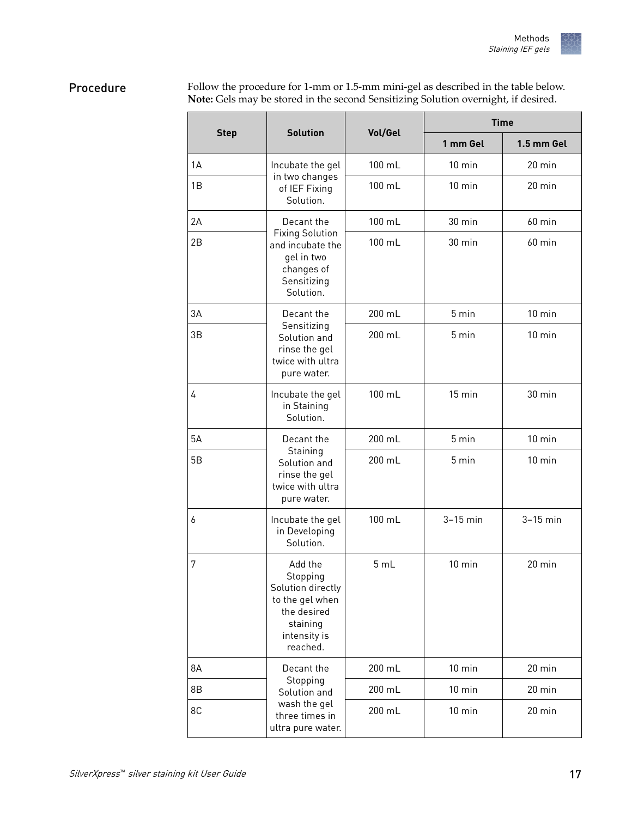#### <span id="page-16-0"></span>Follow the procedure for 1-mm or 1.5-mm mini-gel as described in the table below. **Note:** Gels may be stored in the second Sensitizing Solution overnight, if desired. Procedure

|             | <b>Solution</b>                                                                                                    | Vol/Gel | <b>Time</b>      |                  |  |
|-------------|--------------------------------------------------------------------------------------------------------------------|---------|------------------|------------------|--|
| <b>Step</b> |                                                                                                                    |         | 1 mm Gel         | 1.5 mm Gel       |  |
| 1A          | Incubate the gel<br>in two changes<br>of IEF Fixing<br>Solution.                                                   | 100 mL  | $10 \text{ min}$ | $20$ min         |  |
| 1B          |                                                                                                                    | 100 mL  | $10 \text{ min}$ | 20 min           |  |
| 2A          | Decant the                                                                                                         | 100 mL  | 30 min           | $60$ min         |  |
| 2B          | <b>Fixing Solution</b><br>and incubate the<br>gel in two<br>changes of<br>Sensitizing<br>Solution.                 | 100 mL  | 30 min           | $60$ min         |  |
| 3A          | Decant the<br>Sensitizing<br>Solution and<br>rinse the gel<br>twice with ultra<br>pure water.                      | 200 mL  | 5 min            | $10 \text{ min}$ |  |
| 3B          |                                                                                                                    | 200 mL  | 5 min            | $10 \text{ min}$ |  |
| 4           | Incubate the gel<br>in Staining<br>Solution.                                                                       | 100 mL  | $15 \text{ min}$ | 30 min           |  |
| 5A          | Decant the                                                                                                         | 200 mL  | 5 min            | $10$ min         |  |
| 5B          | Staining<br>Solution and<br>rinse the gel<br>twice with ultra<br>pure water.                                       | 200 mL  | 5 min            | $10 \text{ min}$ |  |
| 6           | Incubate the gel<br>in Developing<br>Solution.                                                                     | 100 mL  | $3-15$ min       | $3-15$ min       |  |
| 7           | Add the<br>Stopping<br>Solution directly<br>to the gel when<br>the desired<br>staining<br>intensity is<br>reached. | 5 mL    | $10 \text{ min}$ | 20 min           |  |
| 8Α          | Decant the                                                                                                         | 200 mL  | $10$ min         | 20 min           |  |
| 8B          | Stopping<br>Solution and<br>wash the gel<br>three times in<br>ultra pure water.                                    | 200 mL  | $10$ min         | 20 min           |  |
| 8C          |                                                                                                                    | 200 mL  | $10 \text{ min}$ | $20$ min         |  |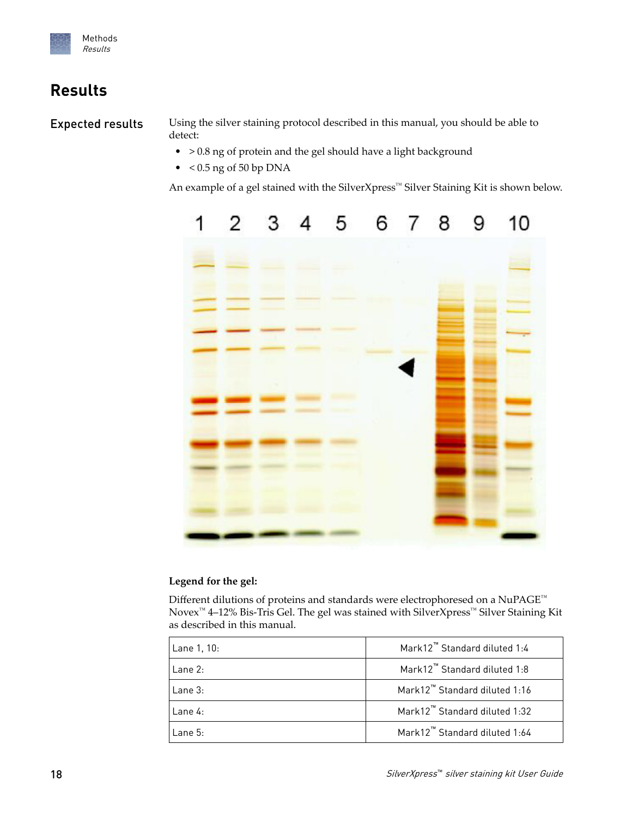<span id="page-17-0"></span>

## **Results**

Expected results

Using the silver staining protocol described in this manual, you should be able to detect:

- > 0.8 ng of protein and the gel should have a light background
- $\bullet$  < 0.5 ng of 50 bp DNA

An example of a gel stained with the SilverXpress™ Silver Staining Kit is shown below.



### **Legend for the gel:**

Different dilutions of proteins and standards were electrophoresed on a NuPAGE™ Novex™ 4–12% Bis-Tris Gel. The gel was stained with SilverXpress™ Silver Staining Kit as described in this manual.

| Lane 1, 10: | Mark12 <sup>™</sup> Standard diluted 1:4  |
|-------------|-------------------------------------------|
| Lane 2:     | Mark12 <sup>™</sup> Standard diluted 1:8  |
| Lane 3:     | Mark12 <sup>™</sup> Standard diluted 1:16 |
| Lane 4:     | Mark12™ Standard diluted 1:32             |
| Lane 5:     | Mark12™ Standard diluted 1:64             |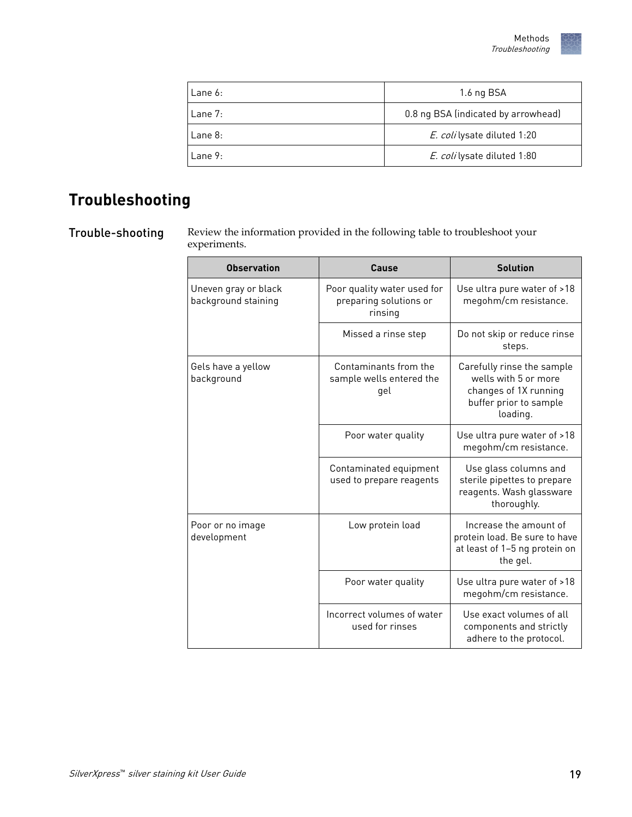| l Lane 6: | 1.6 ng BSA                          |
|-----------|-------------------------------------|
| l Lane 7: | 0.8 ng BSA (indicated by arrowhead) |
| l Lane 8: | E. coli lysate diluted 1:20         |
| l Lane 9: | E. coli lysate diluted 1:80         |

## <span id="page-18-0"></span>**Troubleshooting**

Trouble-shooting

Review the information provided in the following table to troubleshoot your experiments.

| <b>Observation</b>                          | Cause                                                            | <b>Solution</b>                                                                                                   |
|---------------------------------------------|------------------------------------------------------------------|-------------------------------------------------------------------------------------------------------------------|
| Uneven gray or black<br>background staining | Poor quality water used for<br>preparing solutions or<br>rinsing | Use ultra pure water of >18<br>megohm/cm resistance.                                                              |
|                                             | Missed a rinse step                                              | Do not skip or reduce rinse<br>steps.                                                                             |
| Gels have a yellow<br>background            | Contaminants from the<br>sample wells entered the<br>gel         | Carefully rinse the sample<br>wells with 5 or more<br>changes of 1X running<br>buffer prior to sample<br>loading. |
|                                             | Poor water quality                                               | Use ultra pure water of >18<br>megohm/cm resistance.                                                              |
|                                             | Contaminated equipment<br>used to prepare reagents               | Use glass columns and<br>sterile pipettes to prepare<br>reagents. Wash glassware<br>thoroughly.                   |
| Poor or no image<br>development             | Low protein load                                                 | Increase the amount of<br>protein load. Be sure to have<br>at least of 1-5 ng protein on<br>the gel.              |
|                                             | Poor water quality                                               | Use ultra pure water of >18<br>megohm/cm resistance.                                                              |
|                                             | Incorrect volumes of water<br>used for rinses                    | Use exact volumes of all<br>components and strictly<br>adhere to the protocol.                                    |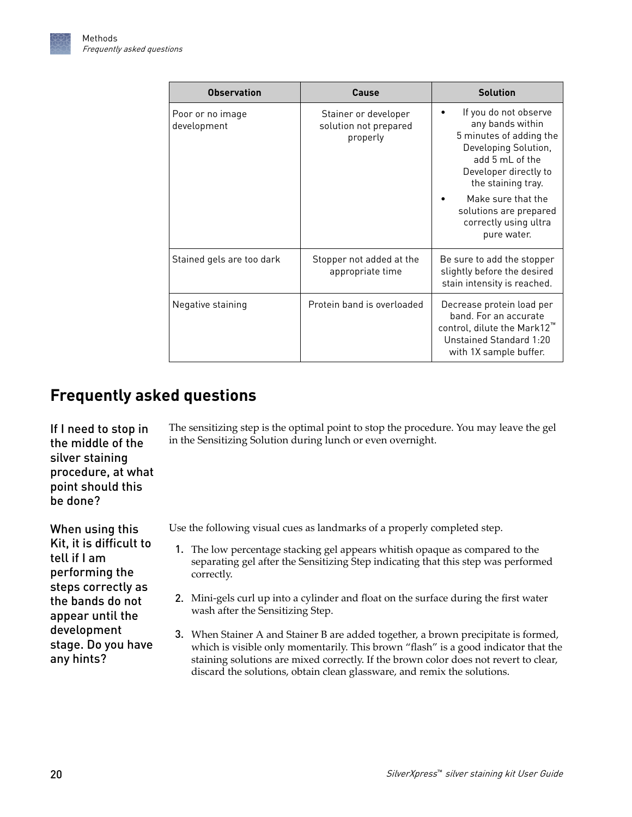<span id="page-19-0"></span>

| <b>Observation</b>              | Cause                                                     | <b>Solution</b>                                                                                                                                                |
|---------------------------------|-----------------------------------------------------------|----------------------------------------------------------------------------------------------------------------------------------------------------------------|
| Poor or no image<br>development | Stainer or developer<br>solution not prepared<br>properly | If you do not observe<br>any bands within<br>5 minutes of adding the<br>Developing Solution,<br>add 5 mL of the<br>Developer directly to<br>the staining tray. |
|                                 |                                                           | Make sure that the<br>solutions are prepared<br>correctly using ultra<br>pure water.                                                                           |
| Stained gels are too dark       | Stopper not added at the<br>appropriate time              | Be sure to add the stopper<br>slightly before the desired<br>stain intensity is reached.                                                                       |
| Negative staining               | Protein band is overloaded                                | Decrease protein load per<br>band. For an accurate<br>control, dilute the Mark12"<br>Unstained Standard 1:20<br>with 1X sample buffer.                         |

## **Frequently asked questions**

If I need to stop in the middle of the silver staining procedure, at what point should this be done?

When using this Kit, it is difficult to tell if I am performing the steps correctly as the bands do not appear until the development stage. Do you have any hints?

The sensitizing step is the optimal point to stop the procedure. You may leave the gel in the Sensitizing Solution during lunch or even overnight.

Use the following visual cues as landmarks of a properly completed step.

- 1. The low percentage stacking gel appears whitish opaque as compared to the separating gel after the Sensitizing Step indicating that this step was performed correctly.
- 2. Mini-gels curl up into a cylinder and float on the surface during the first water wash after the Sensitizing Step.
- 3. When Stainer A and Stainer B are added together, a brown precipitate is formed, which is visible only momentarily. This brown "flash" is a good indicator that the staining solutions are mixed correctly. If the brown color does not revert to clear, discard the solutions, obtain clean glassware, and remix the solutions.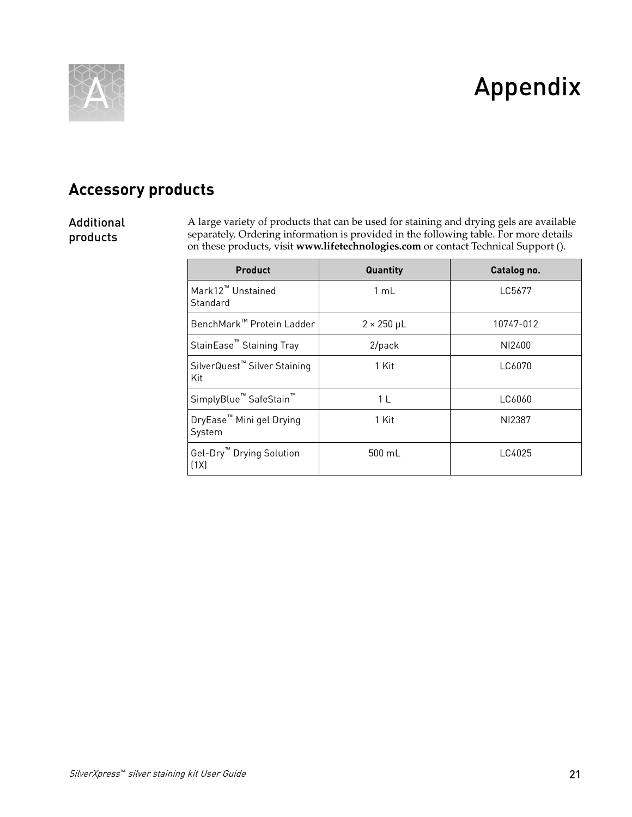<span id="page-20-0"></span>

# Appendix

## **Accessory products**

### Additional products

A large variety of products that can be used for staining and drying gels are available separately. Ordering information is provided in the following table. For more details on these products, visit **[www.lifetechnologies.com](http://www.lifetechnologies.com)** or contact Technical Support ().

| <b>Product</b>                                  | Quantity               | Catalog no. |
|-------------------------------------------------|------------------------|-------------|
| Mark12 <sup>™</sup> Unstained<br>Standard       | 1 mL                   | LC5677      |
| BenchMark™ Protein Ladder                       | $2 \times 250 \,\mu$ L | 10747-012   |
| StainEase <sup>™</sup> Staining Tray            | $2$ /pack              | NI2400      |
| SilverQuest <sup>™</sup> Silver Staining<br>Kit | 1 Kit                  | LC6070      |
| SimplyBlue <sup>™</sup> SafeStain <sup>™</sup>  | 1 L                    | LC6060      |
| DryEase <sup>™</sup> Mini gel Drying<br>System  | 1 Kit                  | NI2387      |
| Gel-Dry <sup>™</sup> Drying Solution<br>(1X)    | 500 mL                 | LC4025      |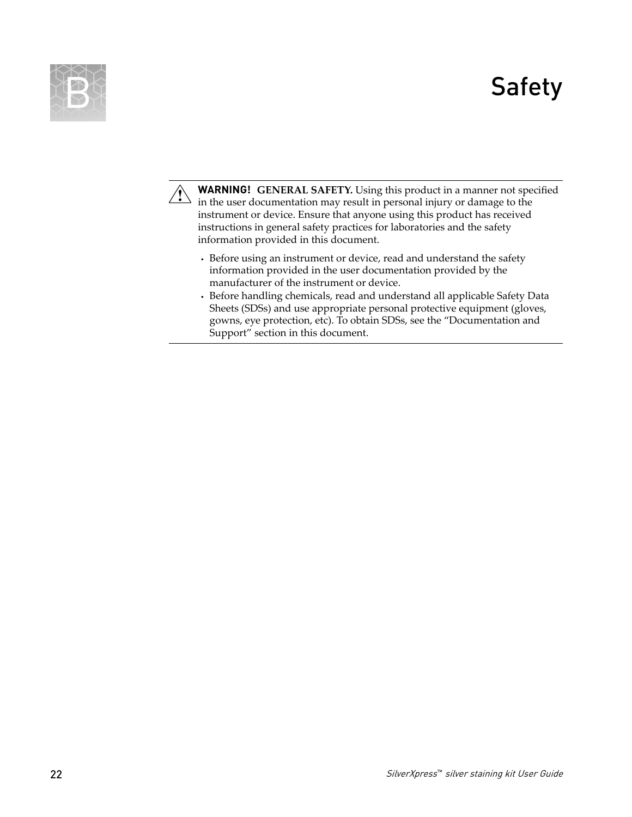# Safety

<span id="page-21-0"></span>



**WARNING! GENERAL SAFETY.** Using this product in a manner not specified in the user documentation may result in personal injury or damage to the instrument or device. Ensure that anyone using this product has received instructions in general safety practices for laboratories and the safety information provided in this document.

- **·** Before using an instrument or device, read and understand the safety information provided in the user documentation provided by the manufacturer of the instrument or device.
- **·** Before handling chemicals, read and understand all applicable Safety Data Sheets (SDSs) and use appropriate personal protective equipment (gloves, gowns, eye protection, etc). To obtain SDSs, see the "Documentation and Support" section in this document.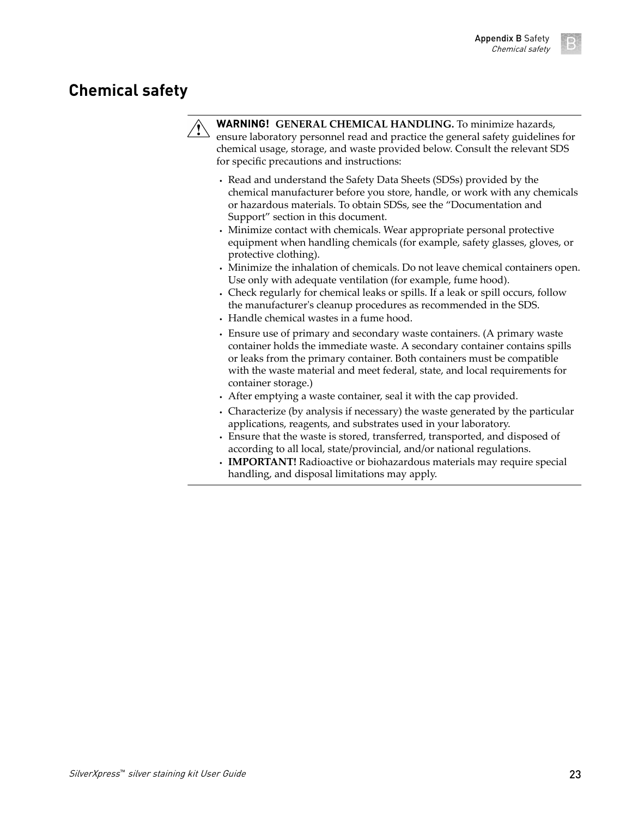### <span id="page-22-0"></span>**Chemical safety**



**WARNING! GENERAL CHEMICAL HANDLING.** To minimize hazards, ensure laboratory personnel read and practice the general safety guidelines for chemical usage, storage, and waste provided below. Consult the relevant SDS for specific precautions and instructions:

- **·** Read and understand the Safety Data Sheets (SDSs) provided by the chemical manufacturer before you store, handle, or work with any chemicals or hazardous materials. To obtain SDSs, see the "Documentation and Support" section in this document.
- **·** Minimize contact with chemicals. Wear appropriate personal protective equipment when handling chemicals (for example, safety glasses, gloves, or protective clothing).
- **·** Minimize the inhalation of chemicals. Do not leave chemical containers open. Use only with adequate ventilation (for example, fume hood).
- **·** Check regularly for chemical leaks or spills. If a leak or spill occurs, follow the manufacturer's cleanup procedures as recommended in the SDS.
- **·** Handle chemical wastes in a fume hood.
- **·** Ensure use of primary and secondary waste containers. (A primary waste container holds the immediate waste. A secondary container contains spills or leaks from the primary container. Both containers must be compatible with the waste material and meet federal, state, and local requirements for container storage.)
- **·** After emptying a waste container, seal it with the cap provided.
- **·** Characterize (by analysis if necessary) the waste generated by the particular applications, reagents, and substrates used in your laboratory.
- **·** Ensure that the waste is stored, transferred, transported, and disposed of according to all local, state/provincial, and/or national regulations.
- **· IMPORTANT!** Radioactive or biohazardous materials may require special handling, and disposal limitations may apply.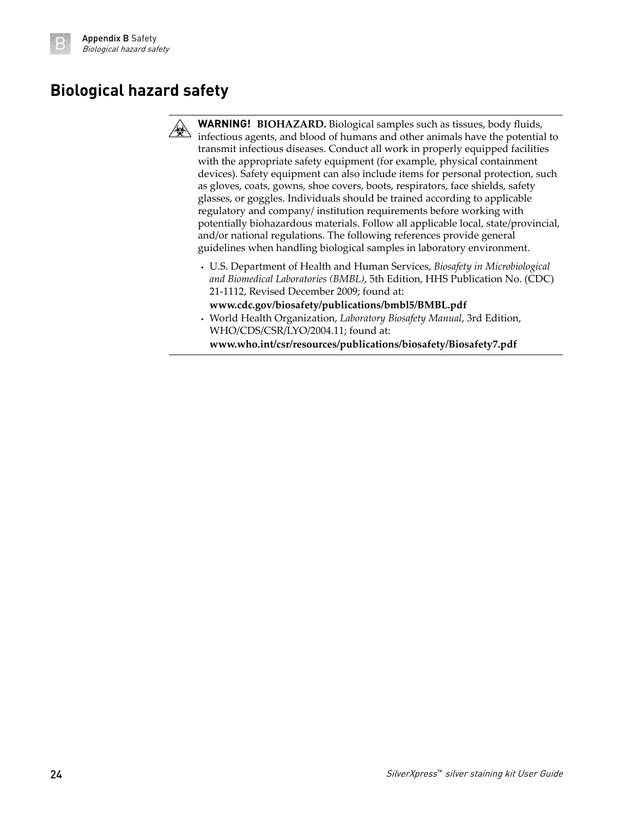## <span id="page-23-0"></span>**Biological hazard safety**



**WARNING! BIOHAZARD.** Biological samples such as tissues, body fluidsǰ infectious agents, and blood of humans and other animals have the potential to transmit infectious diseases. Conduct all work in properly equipped facilities with the appropriate safety equipment (for example, physical containment devices). Safety equipment can also include items for personal protection, such as gloves, coats, gowns, shoe covers, boots, respirators, face shields, safety glasses, or goggles. Individuals should be trained according to applicable regulatory and company/ institution requirements before working with potentially biohazardous materials. Follow all applicable local, state/provincial, and/or national regulations. The following references provide general guidelines when handling biological samples in laboratory environment.

- **·** U.S. Department of Health and Human Services, *Biosafety in Microbiological and Biomedical Laboratories (BMBL)*, 5th Edition, HHS Publication No. (CDC) 21-1112, Revised December 2009; found at:
- **[www.cdc.gov/biosafety/publications/bmbl5/BMBL.pdf](http://www.cdc.gov/biosafety/publications/bmbl5/BMBL.pdf) ·** World Health Organization, *Laboratory Biosafety Manual*, 3rd Edition, WHO/CDS/CSR/LYO/2004.11; found at:

**[www.who.int/csr/resources/publications/biosafety/Biosafety7.pdf](http://www.who.int/csr/resources/publications/biosafety/Biosafety7.pdf)**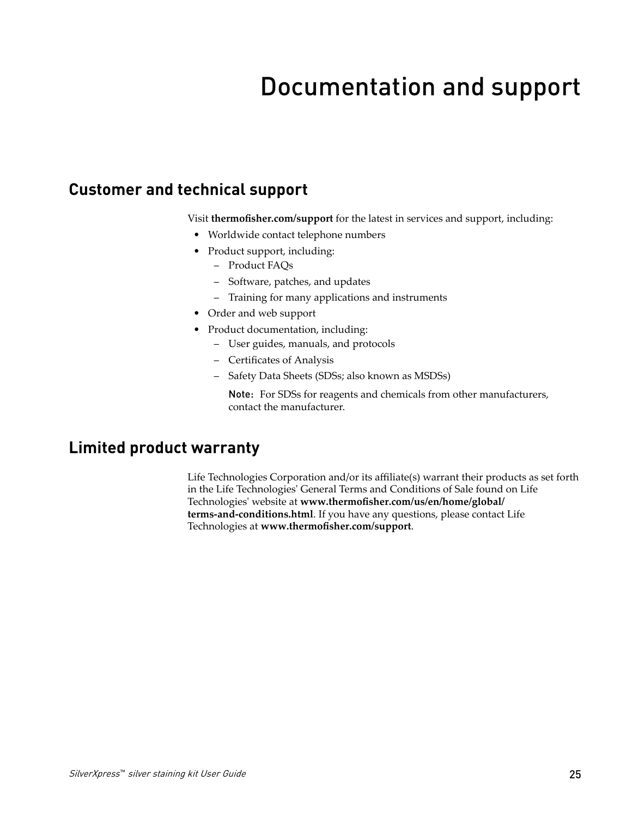# Documentation and support

### <span id="page-24-0"></span>**Customer and technical support**

Visit **thermofisher.com/support** for the latest in services and support, including:

- Worldwide contact telephone numbers
- Product support, including:
	- Product FAQs
	- Software, patches, and updates
	- Training for many applications and instruments
- Order and web support
- Product documentation, including:
	- User guides, manuals, and protocols
	- Certificates of Analysis
	- Safety Data Sheets (SDSs; also known as MSDSs)

Note: For SDSs for reagents and chemicals from other manufacturers, contact the manufacturer.

### **Limited product warranty**

Life Technologies Corporation and/or its affiliate(s) warrant their products as set forth in the Life Technologies' General Terms and Conditions of Sale found on Life Technologies' website at www.thermofisher.com/us/en/home/global/ **[terms-and-conditions.html](http://www.thermofisher.com/us/en/home/global/terms-and-conditions.html)**. If you have any questions, please contact Life Technologies at www.thermofisher.com/support.